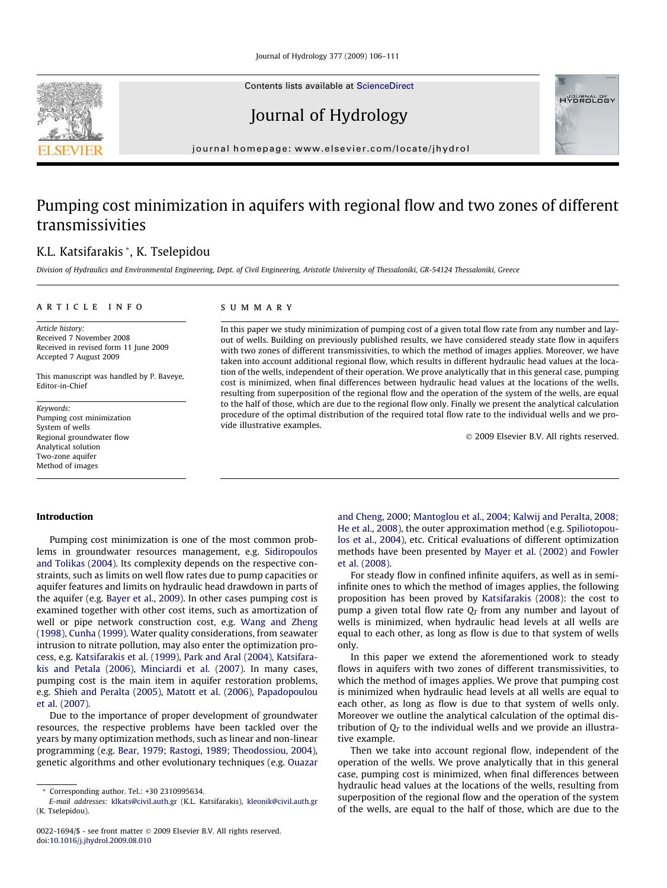Contents lists available at [ScienceDirect](http://www.sciencedirect.com/science/journal/00221694)

Journal of Hydrology

journal homepage: [www.elsevier.com/locate/jhydrol](http://www.elsevier.com/locate/jhydrol)

## Pumping cost minimization in aquifers with regional flow and two zones of different transmissivities

### K.L. Katsifarakis \*, K. Tselepidou

Division of Hydraulics and Environmental Engineering, Dept. of Civil Engineering, Aristotle University of Thessaloniki, GR-54124 Thessaloniki, Greece

#### article info

Article history: Received 7 November 2008 Received in revised form 11 June 2009 Accepted 7 August 2009

This manuscript was handled by P. Baveye, Editor-in-Chief

Keywords: Pumping cost minimization System of wells Regional groundwater flow Analytical solution Two-zone aquifer Method of images

#### SUMMARY

In this paper we study minimization of pumping cost of a given total flow rate from any number and layout of wells. Building on previously published results, we have considered steady state flow in aquifers with two zones of different transmissivities, to which the method of images applies. Moreover, we have taken into account additional regional flow, which results in different hydraulic head values at the location of the wells, independent of their operation. We prove analytically that in this general case, pumping cost is minimized, when final differences between hydraulic head values at the locations of the wells, resulting from superposition of the regional flow and the operation of the system of the wells, are equal to the half of those, which are due to the regional flow only. Finally we present the analytical calculation procedure of the optimal distribution of the required total flow rate to the individual wells and we provide illustrative examples.

- 2009 Elsevier B.V. All rights reserved.

#### Introduction

Pumping cost minimization is one of the most common problems in groundwater resources management, e.g. [Sidiropoulos](#page--1-0) [and Tolikas \(2004\)](#page--1-0). Its complexity depends on the respective constraints, such as limits on well flow rates due to pump capacities or aquifer features and limits on hydraulic head drawdown in parts of the aquifer (e.g. [Bayer et al., 2009\)](#page--1-0). In other cases pumping cost is examined together with other cost items, such as amortization of well or pipe network construction cost, e.g. [Wang and Zheng](#page--1-0) [\(1998\), Cunha \(1999\).](#page--1-0) Water quality considerations, from seawater intrusion to nitrate pollution, may also enter the optimization process, e.g. [Katsifarakis et al. \(1999\), Park and Aral \(2004\), Katsifara](#page--1-0)[kis and Petala \(2006\), Minciardi et al. \(2007\)](#page--1-0). In many cases, pumping cost is the main item in aquifer restoration problems, e.g. [Shieh and Peralta \(2005\), Matott et al. \(2006\), Papadopoulou](#page--1-0) [et al. \(2007\).](#page--1-0)

Due to the importance of proper development of groundwater resources, the respective problems have been tackled over the years by many optimization methods, such as linear and non-linear programming (e.g. [Bear, 1979; Rastogi, 1989; Theodossiou, 2004\)](#page--1-0), genetic algorithms and other evolutionary techniques (e.g. [Ouazar](#page--1-0) [and Cheng, 2000; Mantoglou et al., 2004; Kalwij and Peralta, 2008;](#page--1-0) [He et al., 2008](#page--1-0)), the outer approximation method (e.g. [Spiliotopou](#page--1-0)[los et al., 2004](#page--1-0)), etc. Critical evaluations of different optimization methods have been presented by [Mayer et al. \(2002\) and Fowler](#page--1-0) [et al. \(2008\).](#page--1-0)

For steady flow in confined infinite aquifers, as well as in semiinfinite ones to which the method of images applies, the following proposition has been proved by [Katsifarakis \(2008\)](#page--1-0): the cost to pump a given total flow rate  $Q_T$  from any number and layout of wells is minimized, when hydraulic head levels at all wells are equal to each other, as long as flow is due to that system of wells only.

In this paper we extend the aforementioned work to steady flows in aquifers with two zones of different transmissivities, to which the method of images applies. We prove that pumping cost is minimized when hydraulic head levels at all wells are equal to each other, as long as flow is due to that system of wells only. Moreover we outline the analytical calculation of the optimal distribution of  $Q_T$  to the individual wells and we provide an illustrative example.

Then we take into account regional flow, independent of the operation of the wells. We prove analytically that in this general case, pumping cost is minimized, when final differences between hydraulic head values at the locations of the wells, resulting from superposition of the regional flow and the operation of the system of the wells, are equal to the half of those, which are due to the





<sup>\*</sup> Corresponding author. Tel.: +30 2310995634.

E-mail addresses: [klkats@civil.auth.gr](mailto:klkats@civil.auth.gr) (K.L. Katsifarakis), [kleonik@civil.auth.gr](mailto:kleonik@civil.auth.gr) (K. Tselepidou).

<sup>0022-1694/\$ -</sup> see front matter © 2009 Elsevier B.V. All rights reserved. doi:[10.1016/j.jhydrol.2009.08.010](http://dx.doi.org/10.1016/j.jhydrol.2009.08.010)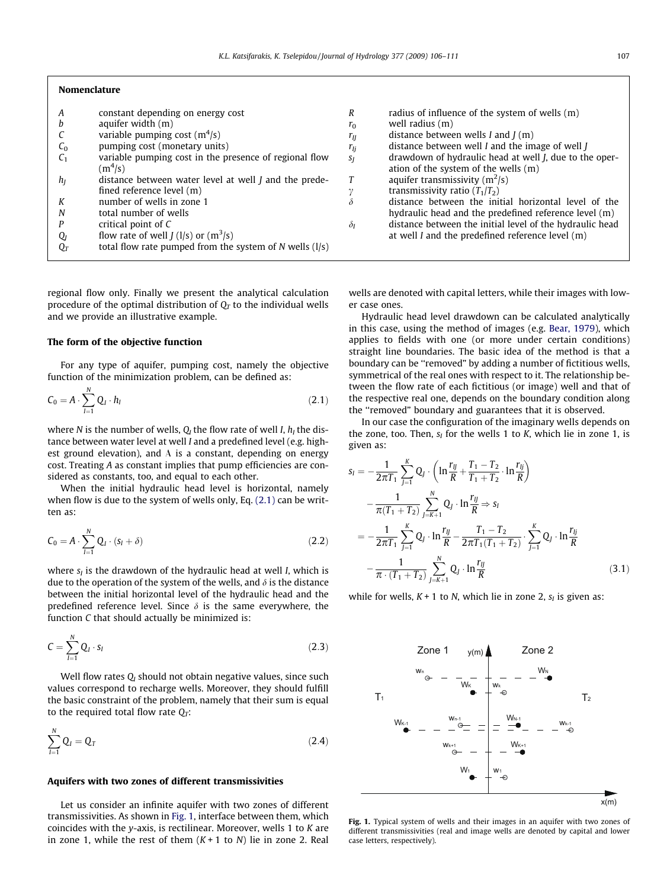| Nomenclature |
|--------------|
|--------------|

| A              | constant depending on energy cost                            | R          | radius of influence of the system of wells $(m)$         |
|----------------|--------------------------------------------------------------|------------|----------------------------------------------------------|
| h              | aquifer width $(m)$                                          | $r_0$      | well radius (m)                                          |
|                | variable pumping cost $(m4/s)$                               | $r_{II}$   | distance between wells $I$ and $J(m)$                    |
| C <sub>0</sub> | pumping cost (monetary units)                                | $r_{Ij}$   | distance between well $I$ and the image of well $J$      |
| C <sub>1</sub> | variable pumping cost in the presence of regional flow       | $S_I$      | drawdown of hydraulic head at well J, due to the oper-   |
|                | $(m^4/s)$                                                    |            | ation of the system of the wells (m)                     |
| $h_I$          | distance between water level at well <i>I</i> and the prede- |            | aquifer transmissivity $(m^2/s)$                         |
|                | fined reference level (m)                                    |            | transmissivity ratio $(T_1/T_2)$                         |
| К              | number of wells in zone 1                                    | $\delta$   | distance between the initial horizontal level of the     |
| N              | total number of wells                                        |            | hydraulic head and the predefined reference level (m)    |
|                | critical point of C                                          | $\delta_I$ | distance between the initial level of the hydraulic head |
| $Q_I$          | flow rate of well $J(1/s)$ or $(m^3/s)$                      |            | at well $I$ and the predefined reference level $(m)$     |
| $O_T$          | total flow rate pumped from the system of $N$ wells $(1/s)$  |            |                                                          |
|                |                                                              |            |                                                          |

regional flow only. Finally we present the analytical calculation procedure of the optimal distribution of  $O<sub>T</sub>$  to the individual wells and we provide an illustrative example.

#### The form of the objective function

For any type of aquifer, pumping cost, namely the objective function of the minimization problem, can be defined as:

$$
C_0 = A \cdot \sum_{l=1}^{N} Q_l \cdot h_l \tag{2.1}
$$

where N is the number of wells,  $Q_I$  the flow rate of well I,  $h_I$  the distance between water level at well I and a predefined level (e.g. highest ground elevation), and A is a constant, depending on energy cost. Treating A as constant implies that pump efficiencies are considered as constants, too, and equal to each other.

When the initial hydraulic head level is horizontal, namely when flow is due to the system of wells only, Eq. (2.1) can be written as:

$$
C_0 = A \cdot \sum_{l=1}^{N} Q_l \cdot (s_l + \delta) \tag{2.2}
$$

where  $s_I$  is the drawdown of the hydraulic head at well I, which is due to the operation of the system of the wells, and  $\delta$  is the distance between the initial horizontal level of the hydraulic head and the predefined reference level. Since  $\delta$  is the same everywhere, the function C that should actually be minimized is:

$$
C = \sum_{l=1}^{N} Q_l \cdot s_l \tag{2.3}
$$

Well flow rates  $Q_I$  should not obtain negative values, since such values correspond to recharge wells. Moreover, they should fulfill the basic constraint of the problem, namely that their sum is equal to the required total flow rate  $Q_T$ :

$$
\sum_{I=1}^{N} Q_I = Q_T \tag{2.4}
$$

#### Aquifers with two zones of different transmissivities

Let us consider an infinite aquifer with two zones of different transmissivities. As shown in Fig. 1, interface between them, which coincides with the y-axis, is rectilinear. Moreover, wells 1 to K are in zone 1, while the rest of them  $(K + 1$  to N) lie in zone 2. Real

wells are denoted with capital letters, while their images with lower case ones.

Hydraulic head level drawdown can be calculated analytically in this case, using the method of images (e.g. [Bear, 1979](#page--1-0)), which applies to fields with one (or more under certain conditions) straight line boundaries. The basic idea of the method is that a boundary can be ''removed" by adding a number of fictitious wells, symmetrical of the real ones with respect to it. The relationship between the flow rate of each fictitious (or image) well and that of the respective real one, depends on the boundary condition along the ''removed" boundary and guarantees that it is observed.

In our case the configuration of the imaginary wells depends on the zone, too. Then,  $s_I$  for the wells 1 to K, which lie in zone 1, is given as:

$$
s_{I} = -\frac{1}{2\pi T_{1}} \sum_{j=1}^{K} Q_{j} \cdot \left( \ln \frac{r_{IJ}}{R} + \frac{T_{1} - T_{2}}{T_{1} + T_{2}} \cdot \ln \frac{r_{IJ}}{R} \right)
$$

$$
- \frac{1}{\pi (T_{1} + T_{2})} \sum_{j=K+1}^{N} Q_{j} \cdot \ln \frac{r_{IJ}}{R} \Rightarrow s_{I}
$$

$$
= -\frac{1}{2\pi T_{1}} \sum_{j=1}^{K} Q_{j} \cdot \ln \frac{r_{IJ}}{R} - \frac{T_{1} - T_{2}}{2\pi T_{1} (T_{1} + T_{2})} \cdot \sum_{j=1}^{K} Q_{j} \cdot \ln \frac{r_{IJ}}{R}
$$

$$
- \frac{1}{\pi \cdot (T_{1} + T_{2})} \sum_{j=K+1}^{N} Q_{j} \cdot \ln \frac{r_{IJ}}{R}
$$
(3.1)

while for wells,  $K + 1$  to N, which lie in zone 2,  $s<sub>I</sub>$  is given as:



Fig. 1. Typical system of wells and their images in an aquifer with two zones of different transmissivities (real and image wells are denoted by capital and lower case letters, respectively).